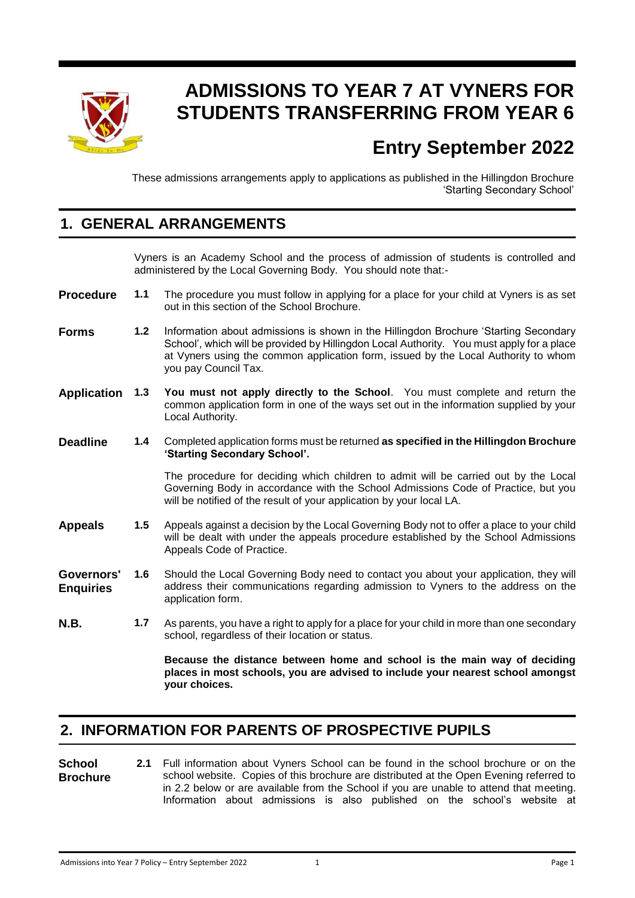

# **ADMISSIONS TO YEAR 7 AT VYNERS FOR STUDENTS TRANSFERRING FROM YEAR 6**

# **Entry September 2022**

These admissions arrangements apply to applications as published in the Hillingdon Brochure 'Starting Secondary School'

#### **1. GENERAL ARRANGEMENTS**

Vyners is an Academy School and the process of admission of students is controlled and administered by the Local Governing Body. You should note that:-

- **Procedure 1.1** The procedure you must follow in applying for a place for your child at Vyners is as set out in this section of the School Brochure.
- **Forms 1.2** Information about admissions is shown in the Hillingdon Brochure 'Starting Secondary School', which will be provided by Hillingdon Local Authority. You must apply for a place at Vyners using the common application form, issued by the Local Authority to whom you pay Council Tax.
- **Application 1.3 You must not apply directly to the School**. You must complete and return the common application form in one of the ways set out in the information supplied by your Local Authority.
- **Deadline 1.4** Completed application forms must be returned **as specified in the Hillingdon Brochure 'Starting Secondary School'.**

The procedure for deciding which children to admit will be carried out by the Local Governing Body in accordance with the School Admissions Code of Practice, but you will be notified of the result of your application by your local LA.

- **Appeals 1.5** Appeals against a decision by the Local Governing Body not to offer a place to your child will be dealt with under the appeals procedure established by the School Admissions Appeals Code of Practice.
- **Governors' Enquiries 1.6** Should the Local Governing Body need to contact you about your application, they will address their communications regarding admission to Vyners to the address on the application form.
- **N.B. 1.7** As parents, you have a right to apply for a place for your child in more than one secondary school, regardless of their location or status.

**Because the distance between home and school is the main way of deciding places in most schools, you are advised to include your nearest school amongst your choices.** 

# **2. INFORMATION FOR PARENTS OF PROSPECTIVE PUPILS**

**School Brochure 2.1** Full information about Vyners School can be found in the school brochure or on the school website. Copies of this brochure are distributed at the Open Evening referred to in 2.2 below or are available from the School if you are unable to attend that meeting. Information about admissions is also published on the school's website at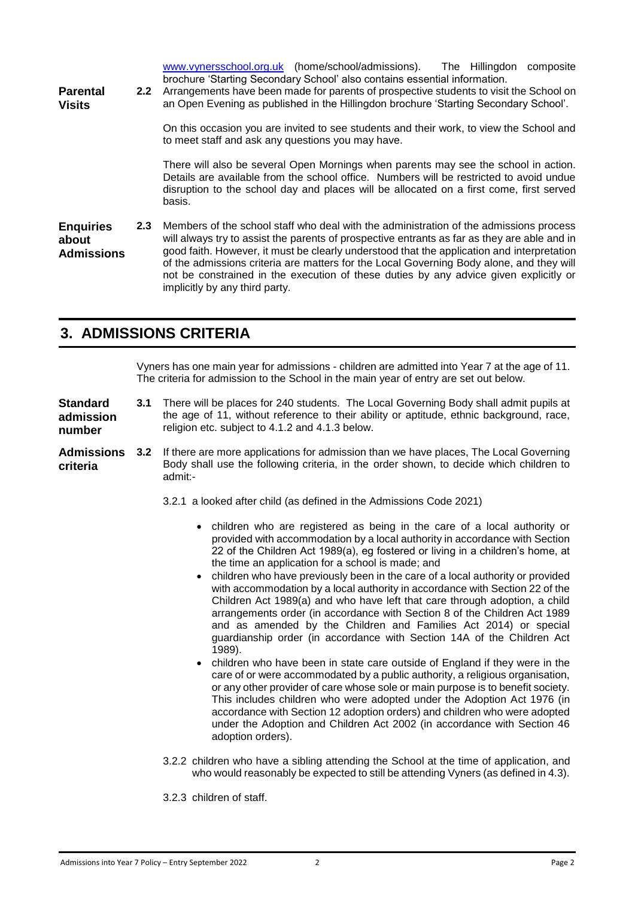[www.vynersschool.org.uk](http://www.vynersschool.org.uk/) (home/school/admissions). The Hillingdon composite brochure 'Starting Secondary School' also contains essential information.

**Parental Visits**

**2.2** Arrangements have been made for parents of prospective students to visit the School on an Open Evening as published in the Hillingdon brochure 'Starting Secondary School'.

> On this occasion you are invited to see students and their work, to view the School and to meet staff and ask any questions you may have.

> There will also be several Open Mornings when parents may see the school in action. Details are available from the school office. Numbers will be restricted to avoid undue disruption to the school day and places will be allocated on a first come, first served basis.

**Enquiries about Admissions 2.3** Members of the school staff who deal with the administration of the admissions process will always try to assist the parents of prospective entrants as far as they are able and in good faith. However, it must be clearly understood that the application and interpretation of the admissions criteria are matters for the Local Governing Body alone, and they will not be constrained in the execution of these duties by any advice given explicitly or implicitly by any third party.

# **3. ADMISSIONS CRITERIA**

Vyners has one main year for admissions - children are admitted into Year 7 at the age of 11. The criteria for admission to the School in the main year of entry are set out below.

**Standard admission number 3.1** There will be places for 240 students. The Local Governing Body shall admit pupils at the age of 11, without reference to their ability or aptitude, ethnic background, race, religion etc. subject to 4.1.2 and 4.1.3 below.

**Admissions criteria 3.2** If there are more applications for admission than we have places, The Local Governing Body shall use the following criteria, in the order shown, to decide which children to admit:-

3.2.1 a looked after child (as defined in the Admissions Code 2021)

- children who are registered as being in the care of a local authority or provided with accommodation by a local authority in accordance with Section 22 of the Children Act 1989(a), eg fostered or living in a children's home, at the time an application for a school is made; and
- children who have previously been in the care of a local authority or provided with accommodation by a local authority in accordance with Section 22 of the Children Act 1989(a) and who have left that care through adoption, a child arrangements order (in accordance with Section 8 of the Children Act 1989 and as amended by the Children and Families Act 2014) or special guardianship order (in accordance with Section 14A of the Children Act 1989).
- children who have been in state care outside of England if they were in the care of or were accommodated by a public authority, a religious organisation, or any other provider of care whose sole or main purpose is to benefit society. This includes children who were adopted under the Adoption Act 1976 (in accordance with Section 12 adoption orders) and children who were adopted under the Adoption and Children Act 2002 (in accordance with Section 46 adoption orders).
- 3.2.2 children who have a sibling attending the School at the time of application, and who would reasonably be expected to still be attending Vyners (as defined in 4.3).
- 3.2.3 children of staff.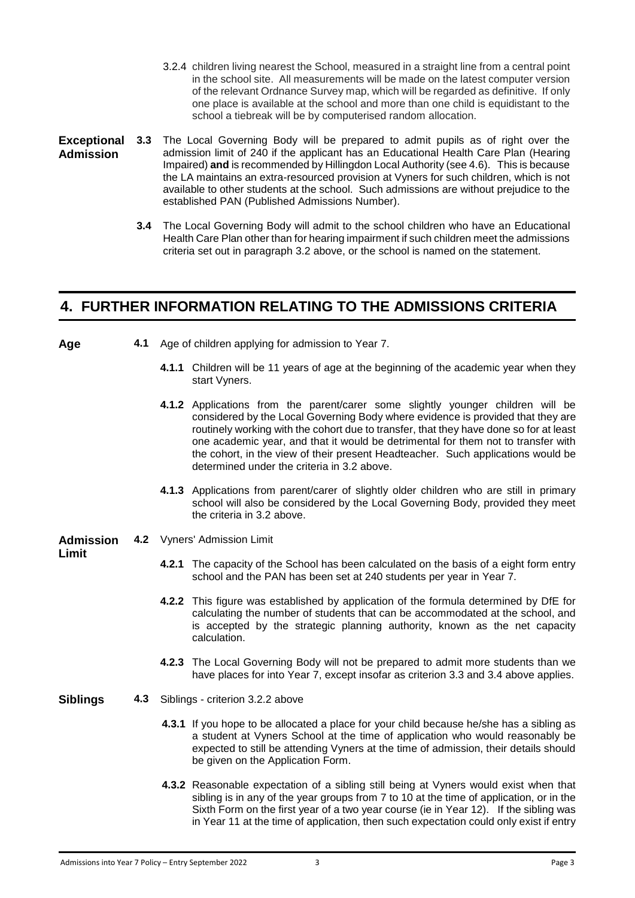- 3.2.4 children living nearest the School, measured in a straight line from a central point in the school site. All measurements will be made on the latest computer version of the relevant Ordnance Survey map, which will be regarded as definitive. If only one place is available at the school and more than one child is equidistant to the school a tiebreak will be by computerised random allocation.
- **Exceptional Admission 3.3** The Local Governing Body will be prepared to admit pupils as of right over the admission limit of 240 if the applicant has an Educational Health Care Plan (Hearing Impaired) **and** is recommended by Hillingdon Local Authority (see 4.6). This is because the LA maintains an extra-resourced provision at Vyners for such children, which is not available to other students at the school. Such admissions are without prejudice to the established PAN (Published Admissions Number).
	- **3.4** The Local Governing Body will admit to the school children who have an Educational Health Care Plan other than for hearing impairment if such children meet the admissions criteria set out in paragraph 3.2 above, or the school is named on the statement.

#### **4. FURTHER INFORMATION RELATING TO THE ADMISSIONS CRITERIA**

- 
- **Age 4.1** Age of children applying for admission to Year 7.
	- **4.1.1** Children will be 11 years of age at the beginning of the academic year when they start Vyners.
	- **4.1.2** Applications from the parent/carer some slightly younger children will be considered by the Local Governing Body where evidence is provided that they are routinely working with the cohort due to transfer, that they have done so for at least one academic year, and that it would be detrimental for them not to transfer with the cohort, in the view of their present Headteacher. Such applications would be determined under the criteria in 3.2 above.
	- **4.1.3** Applications from parent/carer of slightly older children who are still in primary school will also be considered by the Local Governing Body, provided they meet the criteria in 3.2 above.
- **Admission 4.2** Vyners' Admission Limit

#### **Limit**

- **4.2.1** The capacity of the School has been calculated on the basis of a eight form entry school and the PAN has been set at 240 students per year in Year 7.
- **4.2.2** This figure was established by application of the formula determined by DfE for calculating the number of students that can be accommodated at the school, and is accepted by the strategic planning authority, known as the net capacity calculation.
- **4.2.3** The Local Governing Body will not be prepared to admit more students than we have places for into Year 7, except insofar as criterion 3.3 and 3.4 above applies.
- **Siblings 4.3** Siblings criterion 3.2.2 above
	- **4.3.1** If you hope to be allocated a place for your child because he/she has a sibling as a student at Vyners School at the time of application who would reasonably be expected to still be attending Vyners at the time of admission, their details should be given on the Application Form.
	- **4.3.2** Reasonable expectation of a sibling still being at Vyners would exist when that sibling is in any of the year groups from 7 to 10 at the time of application, or in the Sixth Form on the first year of a two year course (ie in Year 12). If the sibling was in Year 11 at the time of application, then such expectation could only exist if entry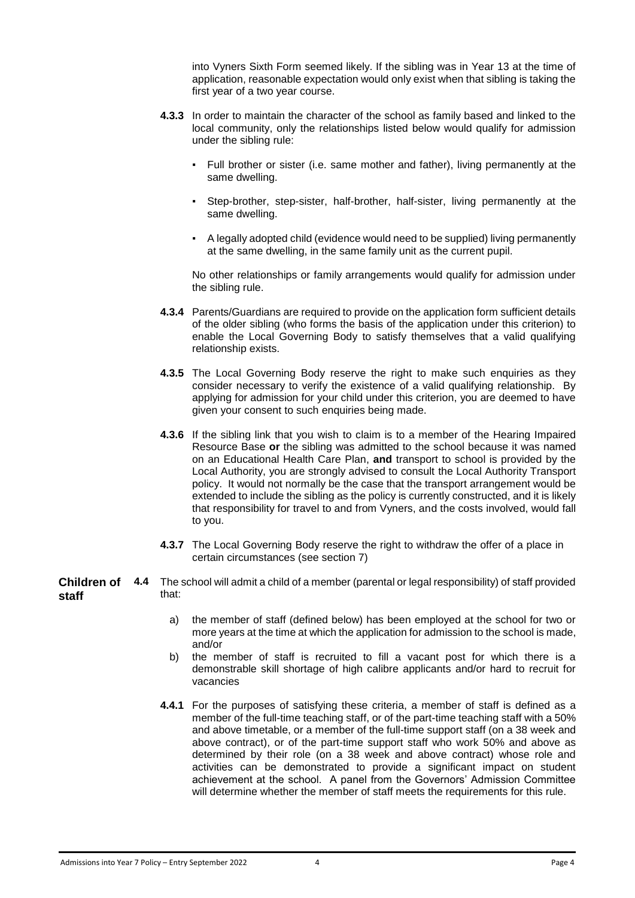into Vyners Sixth Form seemed likely. If the sibling was in Year 13 at the time of application, reasonable expectation would only exist when that sibling is taking the first year of a two year course.

- **4.3.3** In order to maintain the character of the school as family based and linked to the local community, only the relationships listed below would qualify for admission under the sibling rule:
	- Full brother or sister (i.e. same mother and father), living permanently at the same dwelling.
	- Step-brother, step-sister, half-brother, half-sister, living permanently at the same dwelling.
	- A legally adopted child (evidence would need to be supplied) living permanently at the same dwelling, in the same family unit as the current pupil.

No other relationships or family arrangements would qualify for admission under the sibling rule.

- **4.3.4** Parents/Guardians are required to provide on the application form sufficient details of the older sibling (who forms the basis of the application under this criterion) to enable the Local Governing Body to satisfy themselves that a valid qualifying relationship exists.
- **4.3.5** The Local Governing Body reserve the right to make such enquiries as they consider necessary to verify the existence of a valid qualifying relationship. By applying for admission for your child under this criterion, you are deemed to have given your consent to such enquiries being made.
- **4.3.6** If the sibling link that you wish to claim is to a member of the Hearing Impaired Resource Base **or** the sibling was admitted to the school because it was named on an Educational Health Care Plan, **and** transport to school is provided by the Local Authority, you are strongly advised to consult the Local Authority Transport policy. It would not normally be the case that the transport arrangement would be extended to include the sibling as the policy is currently constructed, and it is likely that responsibility for travel to and from Vyners, and the costs involved, would fall to you.
- **4.3.7** The Local Governing Body reserve the right to withdraw the offer of a place in certain circumstances (see section 7)
- **Children of staff 4.4** The school will admit a child of a member (parental or legal responsibility) of staff provided that:
	- a) the member of staff (defined below) has been employed at the school for two or more years at the time at which the application for admission to the school is made, and/or
	- b) the member of staff is recruited to fill a vacant post for which there is a demonstrable skill shortage of high calibre applicants and/or hard to recruit for vacancies
	- **4.4.1** For the purposes of satisfying these criteria, a member of staff is defined as a member of the full-time teaching staff, or of the part-time teaching staff with a 50% and above timetable, or a member of the full-time support staff (on a 38 week and above contract), or of the part-time support staff who work 50% and above as determined by their role (on a 38 week and above contract) whose role and activities can be demonstrated to provide a significant impact on student achievement at the school. A panel from the Governors' Admission Committee will determine whether the member of staff meets the requirements for this rule.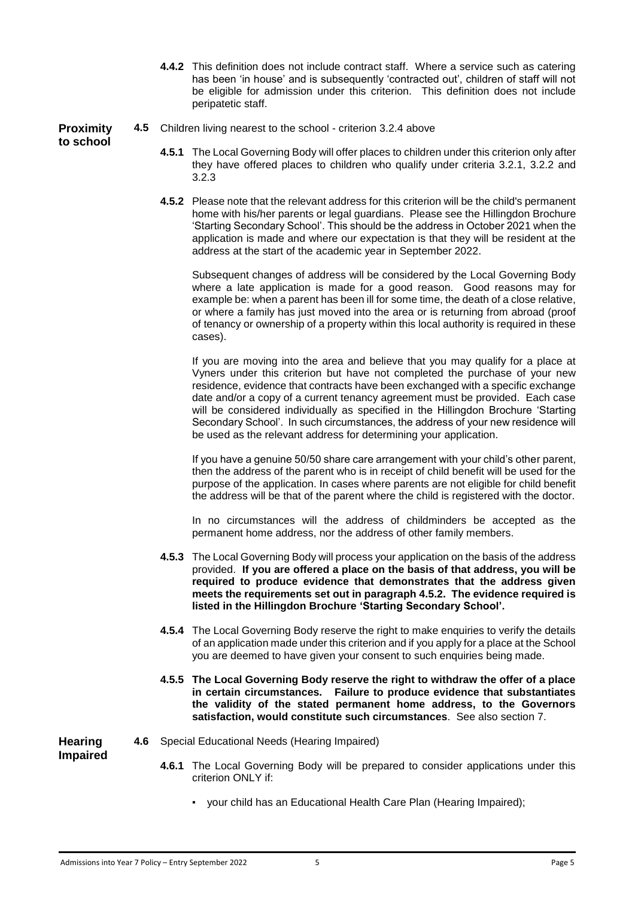**4.4.2** This definition does not include contract staff. Where a service such as catering has been 'in house' and is subsequently 'contracted out', children of staff will not be eligible for admission under this criterion. This definition does not include peripatetic staff.

**Proximity to school**

- **4.5** Children living nearest to the school criterion 3.2.4 above
	- **4.5.1** The Local Governing Body will offer places to children under this criterion only after they have offered places to children who qualify under criteria 3.2.1, 3.2.2 and 3.2.3
	- **4.5.2** Please note that the relevant address for this criterion will be the child's permanent home with his/her parents or legal guardians. Please see the Hillingdon Brochure 'Starting Secondary School'. This should be the address in October 2021 when the application is made and where our expectation is that they will be resident at the address at the start of the academic year in September 2022.

Subsequent changes of address will be considered by the Local Governing Body where a late application is made for a good reason. Good reasons may for example be: when a parent has been ill for some time, the death of a close relative, or where a family has just moved into the area or is returning from abroad (proof of tenancy or ownership of a property within this local authority is required in these cases).

If you are moving into the area and believe that you may qualify for a place at Vyners under this criterion but have not completed the purchase of your new residence, evidence that contracts have been exchanged with a specific exchange date and/or a copy of a current tenancy agreement must be provided. Each case will be considered individually as specified in the Hillingdon Brochure 'Starting Secondary School'. In such circumstances, the address of your new residence will be used as the relevant address for determining your application.

If you have a genuine 50/50 share care arrangement with your child's other parent, then the address of the parent who is in receipt of child benefit will be used for the purpose of the application. In cases where parents are not eligible for child benefit the address will be that of the parent where the child is registered with the doctor.

In no circumstances will the address of childminders be accepted as the permanent home address, nor the address of other family members.

- **4.5.3** The Local Governing Body will process your application on the basis of the address provided. **If you are offered a place on the basis of that address, you will be required to produce evidence that demonstrates that the address given meets the requirements set out in paragraph 4.5.2. The evidence required is listed in the Hillingdon Brochure 'Starting Secondary School'.**
- **4.5.4** The Local Governing Body reserve the right to make enquiries to verify the details of an application made under this criterion and if you apply for a place at the School you are deemed to have given your consent to such enquiries being made.
- **4.5.5 The Local Governing Body reserve the right to withdraw the offer of a place in certain circumstances. Failure to produce evidence that substantiates the validity of the stated permanent home address, to the Governors satisfaction, would constitute such circumstances**. See also section 7.

**Hearing Impaired**

- **4.6** Special Educational Needs (Hearing Impaired)
	- **4.6.1** The Local Governing Body will be prepared to consider applications under this criterion ONLY if:
		- your child has an Educational Health Care Plan (Hearing Impaired);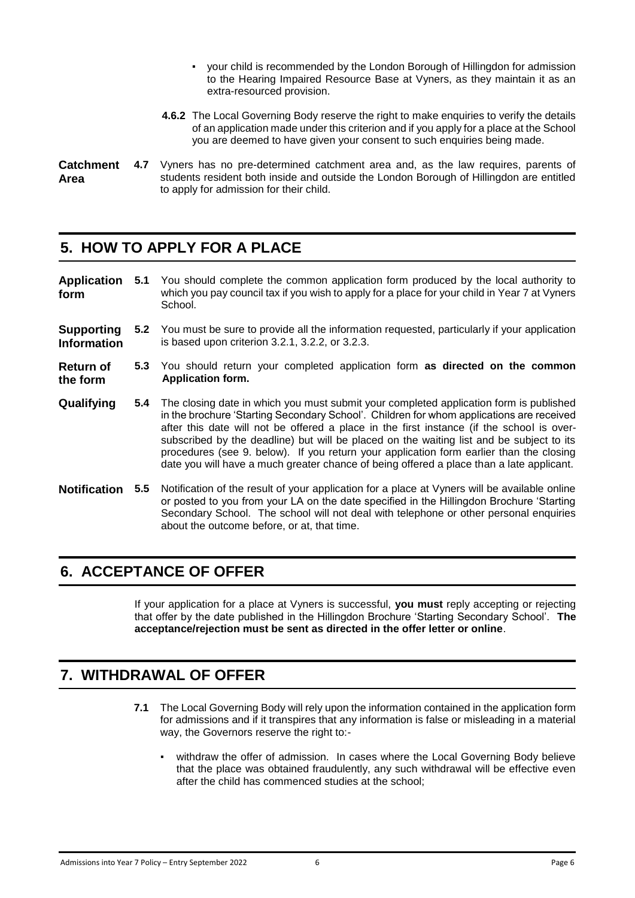- your child is recommended by the London Borough of Hillingdon for admission to the Hearing Impaired Resource Base at Vyners, as they maintain it as an extra-resourced provision.
- **4.6.2** The Local Governing Body reserve the right to make enquiries to verify the details of an application made under this criterion and if you apply for a place at the School you are deemed to have given your consent to such enquiries being made.

#### **Catchment Area 4.7** Vyners has no pre-determined catchment area and, as the law requires, parents of students resident both inside and outside the London Borough of Hillingdon are entitled to apply for admission for their child.

# **5. HOW TO APPLY FOR A PLACE**

| <b>Application</b><br>form              | 5.1           | You should complete the common application form produced by the local authority to<br>which you pay council tax if you wish to apply for a place for your child in Year 7 at Vyners<br>School.                                                                                                                                                                                                                                                                                                                                                                     |
|-----------------------------------------|---------------|--------------------------------------------------------------------------------------------------------------------------------------------------------------------------------------------------------------------------------------------------------------------------------------------------------------------------------------------------------------------------------------------------------------------------------------------------------------------------------------------------------------------------------------------------------------------|
| <b>Supporting</b><br><b>Information</b> |               | 5.2 You must be sure to provide all the information requested, particularly if your application<br>is based upon criterion 3.2.1, 3.2.2, or 3.2.3.                                                                                                                                                                                                                                                                                                                                                                                                                 |
| <b>Return of</b><br>the form            |               | 5.3 You should return your completed application form as directed on the common<br><b>Application form.</b>                                                                                                                                                                                                                                                                                                                                                                                                                                                        |
| Qualifying                              | 5.4           | The closing date in which you must submit your completed application form is published<br>in the brochure 'Starting Secondary School'. Children for whom applications are received<br>after this date will not be offered a place in the first instance (if the school is over-<br>subscribed by the deadline) but will be placed on the waiting list and be subject to its<br>procedures (see 9. below). If you return your application form earlier than the closing<br>date you will have a much greater chance of being offered a place than a late applicant. |
| <b>Notification</b>                     | $5.5^{\circ}$ | Notification of the result of your application for a place at Vyners will be available online<br>or posted to you from your LA on the date specified in the Hillingdon Brochure 'Starting<br>Secondary School. The school will not deal with telephone or other personal enquiries<br>about the outcome before, or at, that time.                                                                                                                                                                                                                                  |

# **6. ACCEPTANCE OF OFFER**

If your application for a place at Vyners is successful, **you must** reply accepting or rejecting that offer by the date published in the Hillingdon Brochure 'Starting Secondary School'. **The acceptance/rejection must be sent as directed in the offer letter or online**.

# **7. WITHDRAWAL OF OFFER**

- **7.1** The Local Governing Body will rely upon the information contained in the application form for admissions and if it transpires that any information is false or misleading in a material way, the Governors reserve the right to:
	- withdraw the offer of admission. In cases where the Local Governing Body believe that the place was obtained fraudulently, any such withdrawal will be effective even after the child has commenced studies at the school;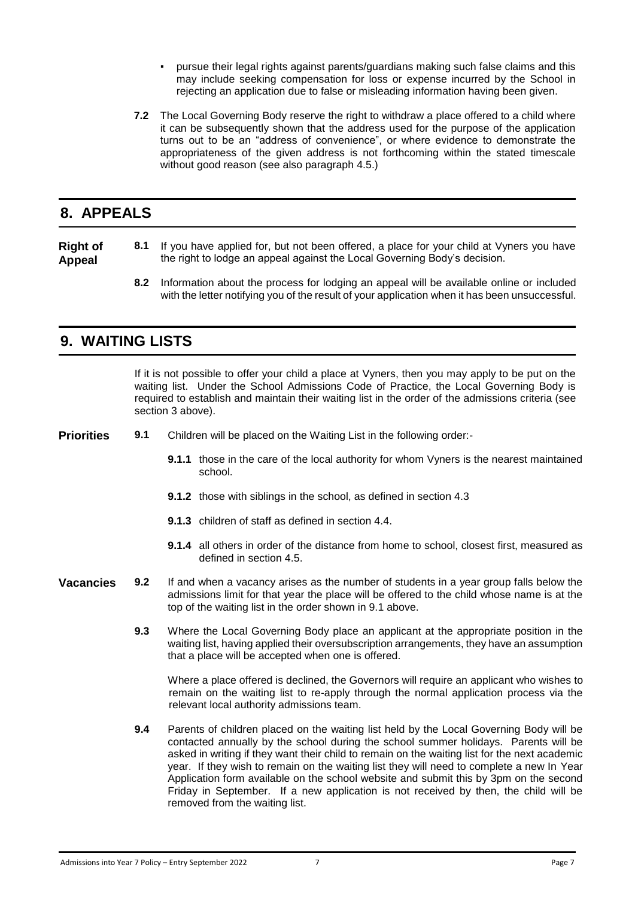- pursue their legal rights against parents/guardians making such false claims and this may include seeking compensation for loss or expense incurred by the School in rejecting an application due to false or misleading information having been given.
- **7.2** The Local Governing Body reserve the right to withdraw a place offered to a child where it can be subsequently shown that the address used for the purpose of the application turns out to be an "address of convenience", or where evidence to demonstrate the appropriateness of the given address is not forthcoming within the stated timescale without good reason (see also paragraph 4.5.)

#### **8. APPEALS**

#### **Right of Appeal 8.1** If you have applied for, but not been offered, a place for your child at Vyners you have the right to lodge an appeal against the Local Governing Body's decision.

**8.2** Information about the process for lodging an appeal will be available online or included with the letter notifying you of the result of your application when it has been unsuccessful.

#### **9. WAITING LISTS**

If it is not possible to offer your child a place at Vyners, then you may apply to be put on the waiting list. Under the School Admissions Code of Practice, the Local Governing Body is required to establish and maintain their waiting list in the order of the admissions criteria (see section 3 above).

**Priorities 9.1** Children will be placed on the Waiting List in the following order:-

- **9.1.1** those in the care of the local authority for whom Vyners is the nearest maintained school.
- **9.1.2** those with siblings in the school, as defined in section 4.3
- **9.1.3** children of staff as defined in section 4.4.
- **9.1.4** all others in order of the distance from home to school, closest first, measured as defined in section 4.5.
- **Vacancies 9.2** If and when a vacancy arises as the number of students in a year group falls below the admissions limit for that year the place will be offered to the child whose name is at the top of the waiting list in the order shown in 9.1 above.
	- **9.3** Where the Local Governing Body place an applicant at the appropriate position in the waiting list, having applied their oversubscription arrangements, they have an assumption that a place will be accepted when one is offered.

Where a place offered is declined, the Governors will require an applicant who wishes to remain on the waiting list to re-apply through the normal application process via the relevant local authority admissions team.

**9.4** Parents of children placed on the waiting list held by the Local Governing Body will be contacted annually by the school during the school summer holidays. Parents will be asked in writing if they want their child to remain on the waiting list for the next academic year. If they wish to remain on the waiting list they will need to complete a new In Year Application form available on the school website and submit this by 3pm on the second Friday in September. If a new application is not received by then, the child will be removed from the waiting list.